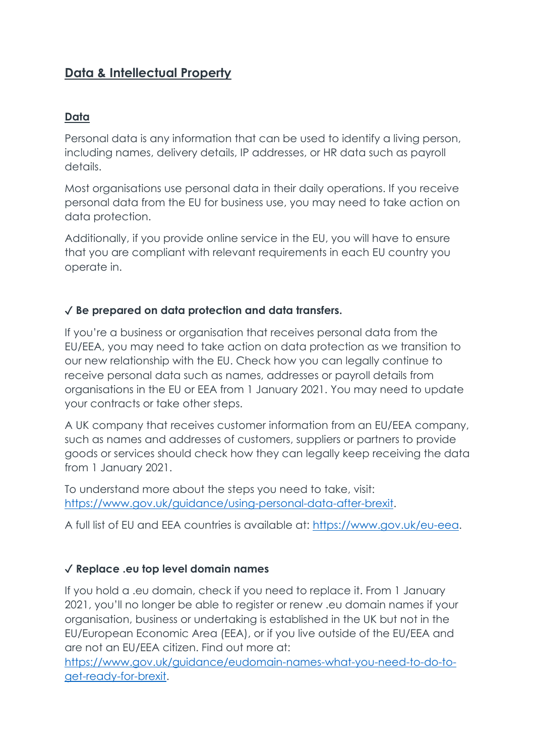# **Data & Intellectual Property**

#### **Data**

Personal data is any information that can be used to identify a living person, including names, delivery details, IP addresses, or HR data such as payroll details.

Most organisations use personal data in their daily operations. If you receive personal data from the EU for business use, you may need to take action on data protection.

Additionally, if you provide online service in the EU, you will have to ensure that you are compliant with relevant requirements in each EU country you operate in.

#### ✓ **Be prepared on data protection and data transfers.**

If you're a business or organisation that receives personal data from the EU/EEA, you may need to take action on data protection as we transition to our new relationship with the EU. Check how you can legally continue to receive personal data such as names, addresses or payroll details from organisations in the EU or EEA from 1 January 2021. You may need to update your contracts or take other steps.

A UK company that receives customer information from an EU/EEA company, such as names and addresses of customers, suppliers or partners to provide goods or services should check how they can legally keep receiving the data from 1 January 2021.

To understand more about the steps you need to take, visit: [https://www.gov.uk/guidance/using-personal-data-after-brexit.](https://www.gov.uk/guidance/using-personal-data-after-brexit)

A full list of EU and EEA countries is available at: [https://www.gov.uk/eu-eea.](https://www.gov.uk/eu-eea)

#### ✓ **Replace .eu top level domain names**

If you hold a .eu domain, check if you need to replace it. From 1 January 2021, you'll no longer be able to register or renew .eu domain names if your organisation, business or undertaking is established in the UK but not in the EU/European Economic Area (EEA), or if you live outside of the EU/EEA and are not an EU/EEA citizen. Find out more at:

[https://www.gov.uk/guidance/eudomain-names-what-you-need-to-do-to](https://www.gov.uk/guidance/eudomain-names-what-you-need-to-do-to-get-ready-for-brexit)[get-ready-for-brexit.](https://www.gov.uk/guidance/eudomain-names-what-you-need-to-do-to-get-ready-for-brexit)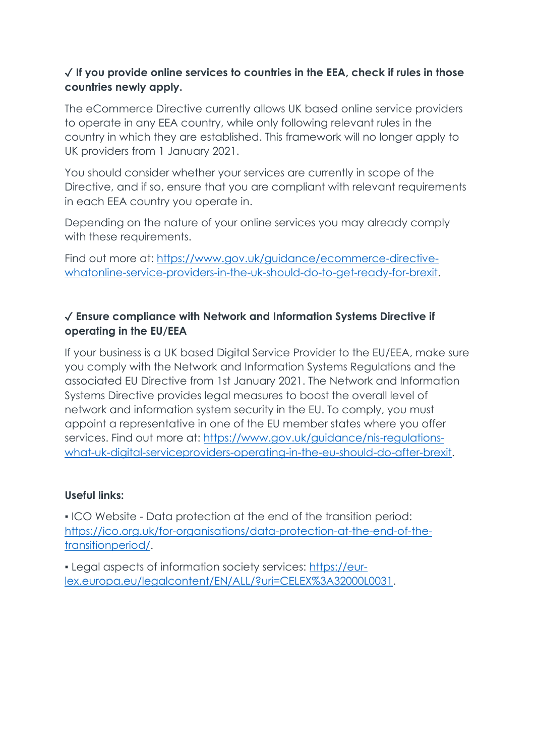# ✓ **If you provide online services to countries in the EEA, check if rules in those countries newly apply.**

The eCommerce Directive currently allows UK based online service providers to operate in any EEA country, while only following relevant rules in the country in which they are established. This framework will no longer apply to UK providers from 1 January 2021.

You should consider whether your services are currently in scope of the Directive, and if so, ensure that you are compliant with relevant requirements in each EEA country you operate in.

Depending on the nature of your online services you may already comply with these requirements.

Find out more at: [https://www.gov.uk/guidance/ecommerce-directive](https://www.gov.uk/guidance/ecommerce-directive-whatonline-service-providers-in-the-uk-should-do-to-get-ready-for-brexit)[whatonline-service-providers-in-the-uk-should-do-to-get-ready-for-brexit.](https://www.gov.uk/guidance/ecommerce-directive-whatonline-service-providers-in-the-uk-should-do-to-get-ready-for-brexit)

# ✓ **Ensure compliance with Network and Information Systems Directive if operating in the EU/EEA**

If your business is a UK based Digital Service Provider to the EU/EEA, make sure you comply with the Network and Information Systems Regulations and the associated EU Directive from 1st January 2021. The Network and Information Systems Directive provides legal measures to boost the overall level of network and information system security in the EU. To comply, you must appoint a representative in one of the EU member states where you offer services. Find out more at: [https://www.gov.uk/guidance/nis-regulations](https://www.gov.uk/guidance/nis-regulations-what-uk-digital-serviceproviders-operating-in-the-eu-should-do-after-brexit)[what-uk-digital-serviceproviders-operating-in-the-eu-should-do-after-brexit.](https://www.gov.uk/guidance/nis-regulations-what-uk-digital-serviceproviders-operating-in-the-eu-should-do-after-brexit)

# **Useful links:**

▪ ICO Website - Data protection at the end of the transition period: [https://ico.org.uk/for-organisations/data-protection-at-the-end-of-the](https://ico.org.uk/for-organisations/data-protection-at-the-end-of-the-transitionperiod/)[transitionperiod/.](https://ico.org.uk/for-organisations/data-protection-at-the-end-of-the-transitionperiod/)

▪ Legal aspects of information society services: [https://eur](https://eur-lex.europa.eu/legalcontent/EN/ALL/?uri=CELEX%3A32000L0031)[lex.europa.eu/legalcontent/EN/ALL/?uri=CELEX%3A32000L0031.](https://eur-lex.europa.eu/legalcontent/EN/ALL/?uri=CELEX%3A32000L0031)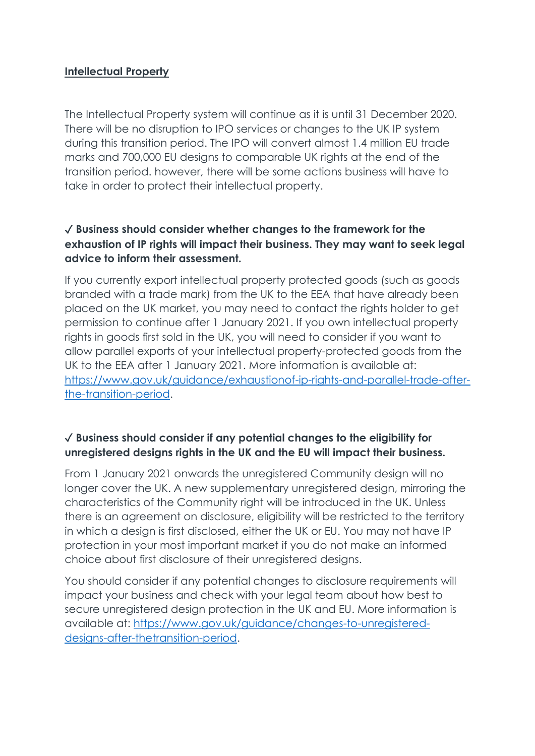#### **Intellectual Property**

The Intellectual Property system will continue as it is until 31 December 2020. There will be no disruption to IPO services or changes to the UK IP system during this transition period. The IPO will convert almost 1.4 million EU trade marks and 700,000 EU designs to comparable UK rights at the end of the transition period. however, there will be some actions business will have to take in order to protect their intellectual property.

## ✓ **Business should consider whether changes to the framework for the exhaustion of IP rights will impact their business. They may want to seek legal advice to inform their assessment.**

If you currently export intellectual property protected goods (such as goods branded with a trade mark) from the UK to the EEA that have already been placed on the UK market, you may need to contact the rights holder to get permission to continue after 1 January 2021. If you own intellectual property rights in goods first sold in the UK, you will need to consider if you want to allow parallel exports of your intellectual property-protected goods from the UK to the EEA after 1 January 2021. More information is available at: [https://www.gov.uk/guidance/exhaustionof-ip-rights-and-parallel-trade-after](https://www.gov.uk/guidance/exhaustionof-ip-rights-and-parallel-trade-after-the-transition-period)[the-transition-period.](https://www.gov.uk/guidance/exhaustionof-ip-rights-and-parallel-trade-after-the-transition-period)

# ✓ **Business should consider if any potential changes to the eligibility for unregistered designs rights in the UK and the EU will impact their business.**

From 1 January 2021 onwards the unregistered Community design will no longer cover the UK. A new supplementary unregistered design, mirroring the characteristics of the Community right will be introduced in the UK. Unless there is an agreement on disclosure, eligibility will be restricted to the territory in which a design is first disclosed, either the UK or EU. You may not have IP protection in your most important market if you do not make an informed choice about first disclosure of their unregistered designs.

You should consider if any potential changes to disclosure requirements will impact your business and check with your legal team about how best to secure unregistered design protection in the UK and EU. More information is available at: [https://www.gov.uk/guidance/changes-to-unregistered](https://www.gov.uk/guidance/changes-to-unregistered-designs-after-thetransition-period)[designs-after-thetransition-period.](https://www.gov.uk/guidance/changes-to-unregistered-designs-after-thetransition-period)